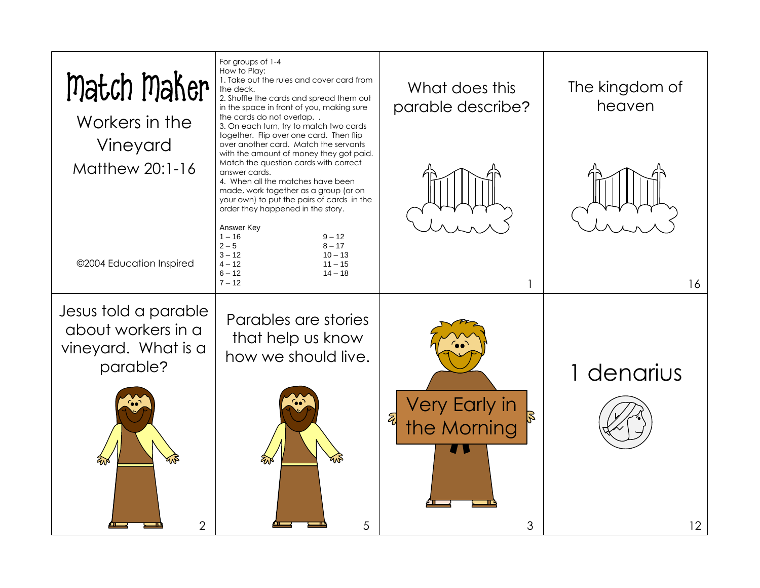| Match Maker<br>Workers in the<br>Vineyard<br>Matthew 20:1-16                  | For groups of 1-4<br>How to Play:<br>1. Take out the rules and cover card from<br>the deck.<br>2. Shuffle the cards and spread them out<br>in the space in front of you, making sure<br>the cards do not overlap<br>3. On each turn, try to match two cards<br>together. Flip over one card. Then flip<br>over another card. Match the servants<br>with the amount of money they got paid.<br>Match the question cards with correct<br>answer cards.<br>4. When all the matches have been<br>made, work together as a group (or on | What does this<br>parable describe?         | The kingdom of<br>heaven |
|-------------------------------------------------------------------------------|------------------------------------------------------------------------------------------------------------------------------------------------------------------------------------------------------------------------------------------------------------------------------------------------------------------------------------------------------------------------------------------------------------------------------------------------------------------------------------------------------------------------------------|---------------------------------------------|--------------------------|
| ©2004 Education Inspired                                                      | your own) to put the pairs of cards in the<br>order they happened in the story.<br>Answer Key<br>$1 - 16$<br>$9 - 12$<br>$2 - 5$<br>$8 - 17$<br>$3 - 12$<br>$10 - 13$<br>$4 - 12$<br>$11 - 15$<br>$6 - 12$<br>$14 - 18$<br>$7 - 12$                                                                                                                                                                                                                                                                                                |                                             | 16                       |
| Jesus told a parable<br>about workers in a<br>vineyard. What is a<br>parable? | Parables are stories<br>that help us know<br>how we should live.                                                                                                                                                                                                                                                                                                                                                                                                                                                                   |                                             | 1 denarius               |
|                                                                               |                                                                                                                                                                                                                                                                                                                                                                                                                                                                                                                                    | Very Early in<br>$\tilde{z}$<br>the Morning |                          |
| $\overline{2}$                                                                | 5                                                                                                                                                                                                                                                                                                                                                                                                                                                                                                                                  | 3                                           | 12                       |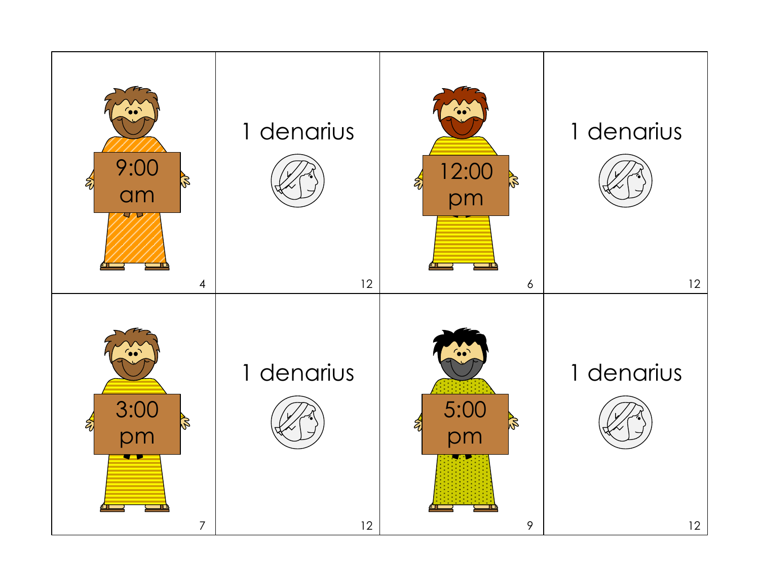